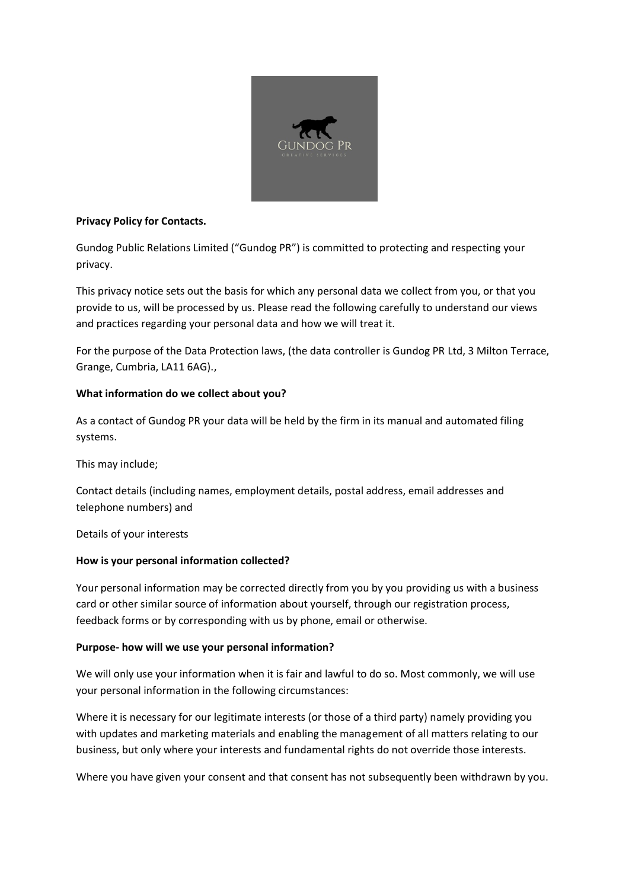

## **Privacy Policy for Contacts.**

Gundog Public Relations Limited ("Gundog PR") is committed to protecting and respecting your privacy.

This privacy notice sets out the basis for which any personal data we collect from you, or that you provide to us, will be processed by us. Please read the following carefully to understand our views and practices regarding your personal data and how we will treat it.

For the purpose of the Data Protection laws, (the data controller is Gundog PR Ltd, 3 Milton Terrace, Grange, Cumbria, LA11 6AG).,

### **What information do we collect about you?**

As a contact of Gundog PR your data will be held by the firm in its manual and automated filing systems.

This may include;

Contact details (including names, employment details, postal address, email addresses and telephone numbers) and

Details of your interests

#### **How is your personal information collected?**

Your personal information may be corrected directly from you by you providing us with a business card or other similar source of information about yourself, through our registration process, feedback forms or by corresponding with us by phone, email or otherwise.

# **Purpose- how will we use your personal information?**

We will only use your information when it is fair and lawful to do so. Most commonly, we will use your personal information in the following circumstances:

Where it is necessary for our legitimate interests (or those of a third party) namely providing you with updates and marketing materials and enabling the management of all matters relating to our business, but only where your interests and fundamental rights do not override those interests.

Where you have given your consent and that consent has not subsequently been withdrawn by you.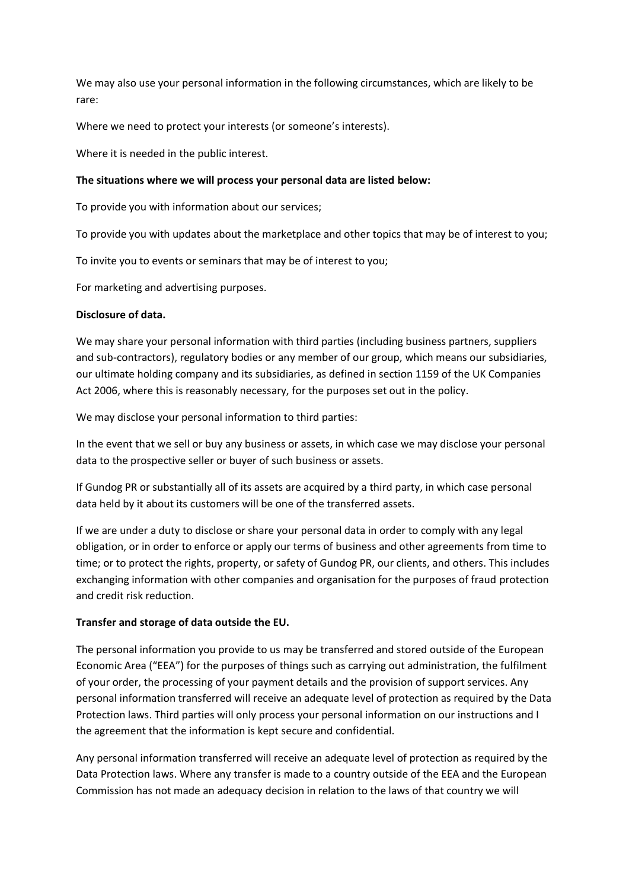We may also use your personal information in the following circumstances, which are likely to be rare:

Where we need to protect your interests (or someone's interests).

Where it is needed in the public interest.

#### **The situations where we will process your personal data are listed below:**

To provide you with information about our services;

To provide you with updates about the marketplace and other topics that may be of interest to you;

To invite you to events or seminars that may be of interest to you;

For marketing and advertising purposes.

#### **Disclosure of data.**

We may share your personal information with third parties (including business partners, suppliers and sub-contractors), regulatory bodies or any member of our group, which means our subsidiaries, our ultimate holding company and its subsidiaries, as defined in section 1159 of the UK Companies Act 2006, where this is reasonably necessary, for the purposes set out in the policy.

We may disclose your personal information to third parties:

In the event that we sell or buy any business or assets, in which case we may disclose your personal data to the prospective seller or buyer of such business or assets.

If Gundog PR or substantially all of its assets are acquired by a third party, in which case personal data held by it about its customers will be one of the transferred assets.

If we are under a duty to disclose or share your personal data in order to comply with any legal obligation, or in order to enforce or apply our terms of business and other agreements from time to time; or to protect the rights, property, or safety of Gundog PR, our clients, and others. This includes exchanging information with other companies and organisation for the purposes of fraud protection and credit risk reduction.

# **Transfer and storage of data outside the EU.**

The personal information you provide to us may be transferred and stored outside of the European Economic Area ("EEA") for the purposes of things such as carrying out administration, the fulfilment of your order, the processing of your payment details and the provision of support services. Any personal information transferred will receive an adequate level of protection as required by the Data Protection laws. Third parties will only process your personal information on our instructions and I the agreement that the information is kept secure and confidential.

Any personal information transferred will receive an adequate level of protection as required by the Data Protection laws. Where any transfer is made to a country outside of the EEA and the European Commission has not made an adequacy decision in relation to the laws of that country we will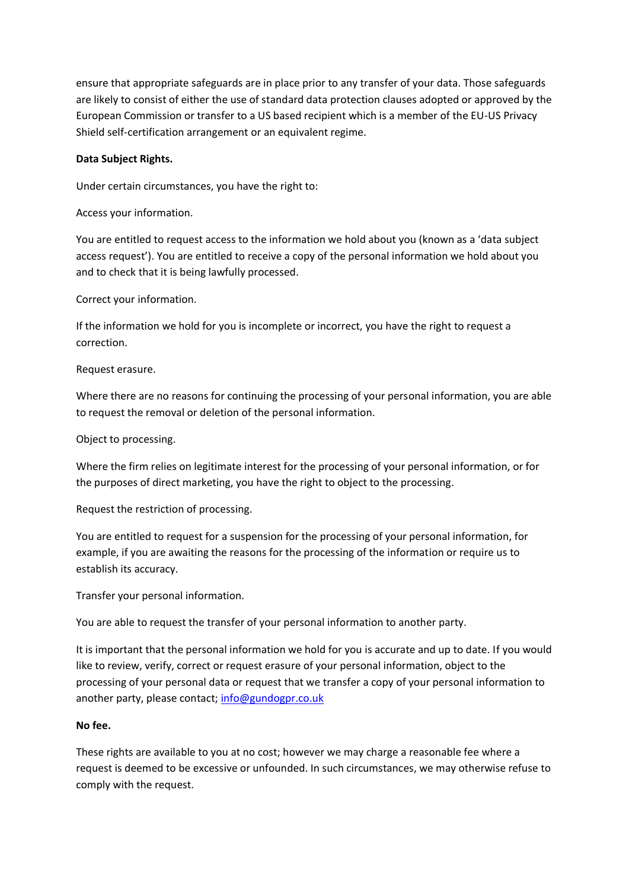ensure that appropriate safeguards are in place prior to any transfer of your data. Those safeguards are likely to consist of either the use of standard data protection clauses adopted or approved by the European Commission or transfer to a US based recipient which is a member of the EU-US Privacy Shield self-certification arrangement or an equivalent regime.

#### **Data Subject Rights.**

Under certain circumstances, you have the right to:

Access your information.

You are entitled to request access to the information we hold about you (known as a 'data subject access request'). You are entitled to receive a copy of the personal information we hold about you and to check that it is being lawfully processed.

Correct your information.

If the information we hold for you is incomplete or incorrect, you have the right to request a correction.

#### Request erasure.

Where there are no reasons for continuing the processing of your personal information, you are able to request the removal or deletion of the personal information.

Object to processing.

Where the firm relies on legitimate interest for the processing of your personal information, or for the purposes of direct marketing, you have the right to object to the processing.

Request the restriction of processing.

You are entitled to request for a suspension for the processing of your personal information, for example, if you are awaiting the reasons for the processing of the information or require us to establish its accuracy.

Transfer your personal information.

You are able to request the transfer of your personal information to another party.

It is important that the personal information we hold for you is accurate and up to date. If you would like to review, verify, correct or request erasure of your personal information, object to the processing of your personal data or request that we transfer a copy of your personal information to another party, please contact; [info@gundogpr.co.uk](mailto:info@gundogpr.co.uk)

#### **No fee.**

These rights are available to you at no cost; however we may charge a reasonable fee where a request is deemed to be excessive or unfounded. In such circumstances, we may otherwise refuse to comply with the request.